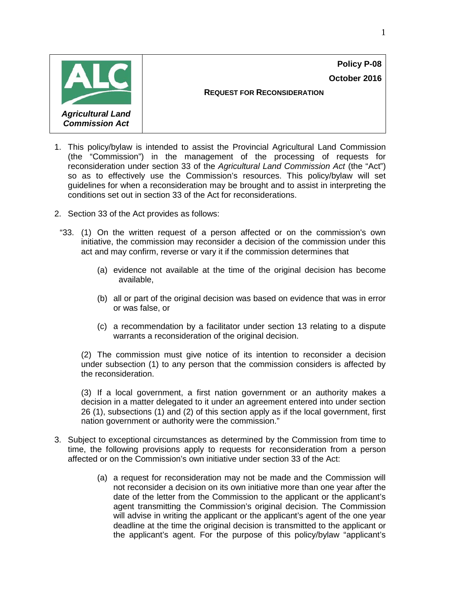**Policy P-08 October 2016**



**REQUEST FOR RECONSIDERATION**

- 1. This policy/bylaw is intended to assist the Provincial Agricultural Land Commission (the "Commission") in the management of the processing of requests for reconsideration under section 33 of the *Agricultural Land Commission Act* (the "Act") so as to effectively use the Commission's resources. This policy/bylaw will set guidelines for when a reconsideration may be brought and to assist in interpreting the conditions set out in section 33 of the Act for reconsiderations.
- 2. Section 33 of the Act provides as follows:
	- "33. (1) On the written request of a person affected or on the commission's own initiative, the commission may reconsider a decision of the commission under this act and may confirm, reverse or vary it if the commission determines that
		- (a) evidence not available at the time of the original decision has become available,
		- (b) all or part of the original decision was based on evidence that was in error or was false, or
		- (c) a recommendation by a facilitator under section 13 relating to a dispute warrants a reconsideration of the original decision.

(2) The commission must give notice of its intention to reconsider a decision under subsection (1) to any person that the commission considers is affected by the reconsideration.

(3) If a local government, a first nation government or an authority makes a decision in a matter delegated to it under an agreement entered into under section 26 (1), subsections (1) and (2) of this section apply as if the local government, first nation government or authority were the commission."

- 3. Subject to exceptional circumstances as determined by the Commission from time to time, the following provisions apply to requests for reconsideration from a person affected or on the Commission's own initiative under section 33 of the Act:
	- (a) a request for reconsideration may not be made and the Commission will not reconsider a decision on its own initiative more than one year after the date of the letter from the Commission to the applicant or the applicant's agent transmitting the Commission's original decision. The Commission will advise in writing the applicant or the applicant's agent of the one year deadline at the time the original decision is transmitted to the applicant or the applicant's agent. For the purpose of this policy/bylaw "applicant's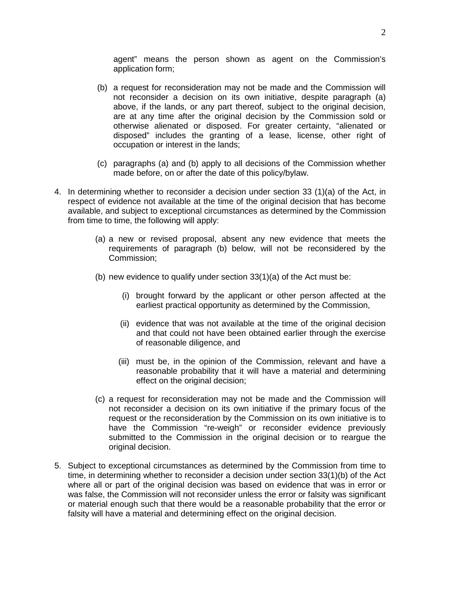agent" means the person shown as agent on the Commission's application form;

- (b) a request for reconsideration may not be made and the Commission will not reconsider a decision on its own initiative, despite paragraph (a) above, if the lands, or any part thereof, subject to the original decision, are at any time after the original decision by the Commission sold or otherwise alienated or disposed. For greater certainty, "alienated or disposed" includes the granting of a lease, license, other right of occupation or interest in the lands;
- (c) paragraphs (a) and (b) apply to all decisions of the Commission whether made before, on or after the date of this policy/bylaw.
- 4. In determining whether to reconsider a decision under section 33 (1)(a) of the Act, in respect of evidence not available at the time of the original decision that has become available, and subject to exceptional circumstances as determined by the Commission from time to time, the following will apply:
	- (a) a new or revised proposal, absent any new evidence that meets the requirements of paragraph (b) below, will not be reconsidered by the Commission;
	- (b) new evidence to qualify under section 33(1)(a) of the Act must be:
		- (i) brought forward by the applicant or other person affected at the earliest practical opportunity as determined by the Commission,
		- (ii) evidence that was not available at the time of the original decision and that could not have been obtained earlier through the exercise of reasonable diligence, and
		- (iii) must be, in the opinion of the Commission, relevant and have a reasonable probability that it will have a material and determining effect on the original decision;
	- (c) a request for reconsideration may not be made and the Commission will not reconsider a decision on its own initiative if the primary focus of the request or the reconsideration by the Commission on its own initiative is to have the Commission "re-weigh" or reconsider evidence previously submitted to the Commission in the original decision or to reargue the original decision.
- 5. Subject to exceptional circumstances as determined by the Commission from time to time, in determining whether to reconsider a decision under section 33(1)(b) of the Act where all or part of the original decision was based on evidence that was in error or was false, the Commission will not reconsider unless the error or falsity was significant or material enough such that there would be a reasonable probability that the error or falsity will have a material and determining effect on the original decision.